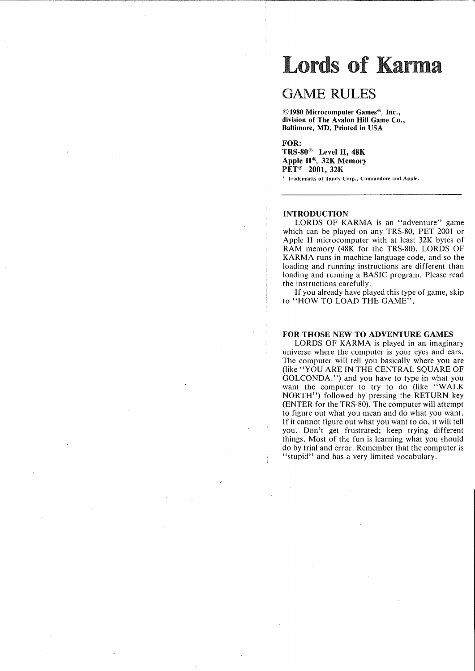# ords of Karma

# GAME RULES

©1980 Microcomputer Games®, Inc., division of The Avalon Hill Game Co., Baltimore, MD, Printed in USA

# FOR:

TRS-80® Level II, 48K Apple II®, 32K Memory PET® 2001, 32K

<sup>\*</sup> Trademarks of Tandy Corp., Commodore and Apple.

# INTRODUCTION

LORDS OF KARMA is an "adventure" game which can be played on any TRS-80, PET 2001 or Apple II microcomputer with at least 32K bytes of RAM memory (48K for the TRS-80). LORDS OF KARMA runs in machine language code, and so the loading and running instructions are different than loading and running a BASIC program. Please read the instructions carefully.

If you already have played this type of game, skip to "HOW TO LOAD THE GAME".

### FOR THOSE NEW TO ADVENTURE GAMES

LORDS OF KARMA is played in an imaginary universe where the computer is your eyes and ears. The computer will tell you basically where you are (like "YOU ARE IN THE CENTRAL SQUARE OF GOLCONDA.") and you have to type in what you want the computer to try to do (like "WALK NORTH") followed by pressing the RETURN key (ENTER for the TRS-80). The computer will attempt to figure out what you mean and do what you want. If it cannot figure out what you want to do, it will tell you. Don't get frustrated; keep trying different things. Most of the fun is learning what you should do by trial and error. Remember that the computer is "stupid" and has a very limited vocabulary.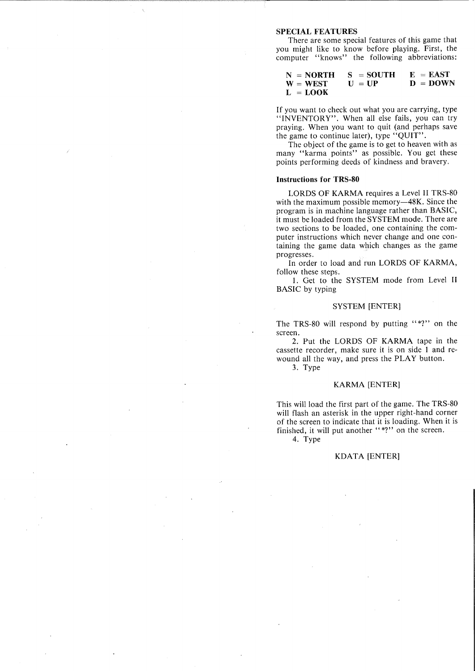### SPECIAL FEATURES

There are some special features of this game that you might like to know before playing. First, the computer "knows" the following abbreviations:

| $N = NORTH$ | $S = SOLTH$ | $E = EAST$ |
|-------------|-------------|------------|
| $W = WEST$  | $U = UP$    | $D = DOWN$ |
| $L =$ LOOK  |             |            |

If you want to check out what you are carrying, type "INVENTORY". When all else fails, you can try praying. When you want to quit (and perhaps save the game to continue later), type "QUIT".

The object of the game is to get to heaven with as many "karma points" as possible. You get these points performing deeds of kindness and bravery.

### Instructions for TRS-80

LORDS OF KARMA requires a Level II TRS-80 with the maximum possible memory-48K. Since the program is in machine language rather than BASIC, it must be loaded from the SYSTEM mode. There are two sections to be loaded, one containing the computer instructions which never change and one containing the game data which changes as the game progresses.

In order to load and run LORDS OF KARMA, follow these steps.

1. Get to the SYSTEM mode from Level II BASIC by typing

### SYSTEM [ENTER]

The TRS-80 will respond by putting "\*?" on the screen.

2. Put the LORDS OF KARMA tape in the cassette recorder, make sure it is on side 1 and rewound all the way, and press the PLAY button.

3. Type

### KARMA [ENTER]

This will load the first part of the game. The TRS-80 will flash an asterisk in the upper right-hand corner of the screen to indicate that it is loading. When it is finished, it will put another " $*$ ?" on the screen.

4. Type

#### KDATA [ENTER]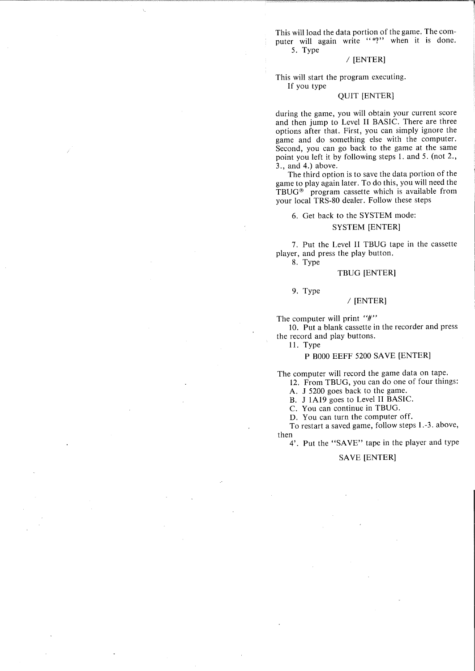This will load the data portion of the game. The computer will again write "\*?" when it is done. 5. Type

# / [ENTER]

This will start the program executing.

If you type

# QUIT [ENTER]

during the game, you will obtain your current score and then jump to Level II BASIC. There are three options after that. First, you can simply ignore the game and do something else with the computer. Second, you can go back to the game at the same point you left it by following steps 1. and 5. (not 2., 3., and 4.) above.

The third option is to save the data portion of the game to play again later. To do this, you will need the  $TBUG^{\circledast}$  program cassette which is available from your local TRS-80 dealer. Follow these steps

6. Get back to the SYSTEM mode:

### SYSTEM [ENTER]

7. Put the Level II TBUG tape in the cassette player, and press the play button.

8. Type

#### TBUG [ENTER]

9. Type

# / [ENTER]

The computer will print  $"#"$ 

10. Put a blank cassette in the recorder and press the record and play buttons.

11. Type

### P BOOO EEFF 5200 SAVE [ENTER]

The computer will record the game data on tape.

12. From TBUG, you can do one of four things:

A. J 5200 goes back to the game.

B. J lA19 goes to Level II BASIC.

C. You can continue in TBUG.

D. You can turn the computer off.

To restart a saved game, follow steps 1.-3. above, then

4'. Put the "SAVE" tape in the player and type

### SAVE [ENTER]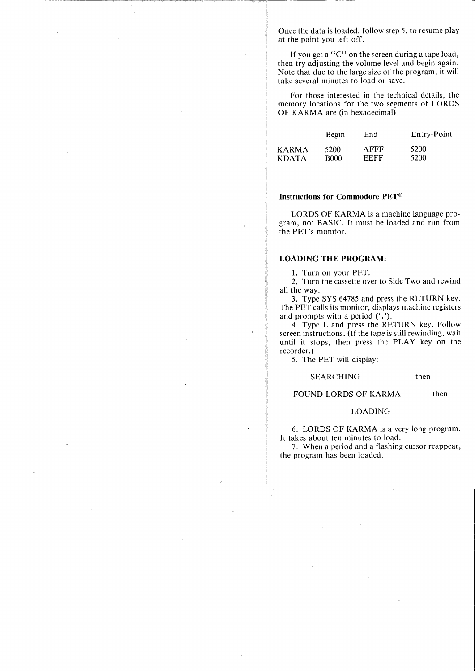Once the data is loaded, follow step 5. to resume play at the point you left off.

If you get a "C" on the screen during a tape load, then try adjusting the volume level and begin again. Note that due to the large size of the program, it will take several minutes to load or save.

For those interested in the technical details, the memory locations for the two segments of LORDS OF KARMA are (in hexadecimal)

|              | Begin | End  | Entry-Point |
|--------------|-------|------|-------------|
| KARMA        | 5200  | AFFF | 5200        |
| <b>KDATA</b> | B000  | EEFF | 5200        |

### **Instructions for Commodore** PET®

LORDS OF KARMA is a machine language program, not BASIC. It must be loaded and run from the PET's monitor.

# **LOADING THE PROGRAM:**

1. Turn on your PET.

2. Turn the cassette over to Side Two and rewind all the way.

3. Type SYS 64785 and press the RETURN key. The PET calls its monitor, displays machine registers and prompts with a period  $($ .').

4. Type L and press the RETURN key. Follow screen instructions. (If the tape is still rewinding, wait until it stops, then press the PLAY key on the recorder.)

5. The PET will display:

### SEARCHING

### FOUND LORDS OF KARMA

then

then

# LOADING

6. LORDS OF KARMA is a very long program. It takes about ten minutes to load.

7. When a period and a flashing cursor reappear, the program has been loaded.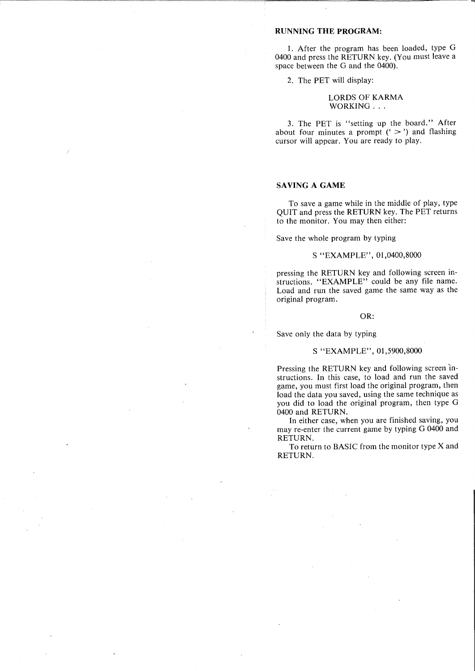### RUNNING THE PROGRAM:

1. After the program has been loaded, type G 0400 and press the RETURN key. (You must leave a space between the G and the 0400).

2. The PET will display:

# LORDS OF KARMA WORKING ...

3. The PET is "setting up the board." After about four minutes a prompt  $(' >')$  and flashing cursor will appear. You are ready to play.

# SAVING A GAME

To save a game while in the middle of play, type QUIT and press the RETURN key. The PET returns to the monitor. You may then either:

Save the whole program by typing

### S "EXAMPLE", 01 ,0400,8000

pressing the RETURN key and following screen instructions. "EXAMPLE" could be any file name. Load and run the saved game the same way as the original program.

### OR:

Save only the data by typing

### S "EXAMPLE", 01,5900,8000

Pressing the RETURN key and following screen'instructions. In this case, to load and run the saved game, you must first load the original program, then load the data you saved, using the same technique as you did to load the original program, then type G 0400 and RETURN.

In either case, when you are finished saving, you may re-enter the current game by typing G 0400 and RETURN.

To return to BASIC from the monitor type X and RETURN.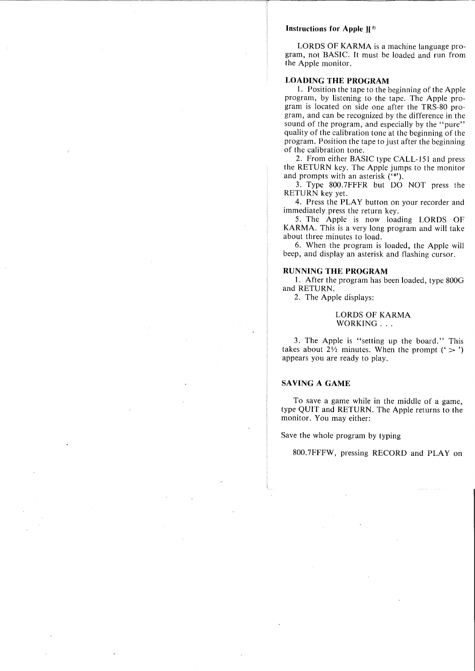### Instructions for Apple )[®

LORDS OF KARMA is a machine language program, not BASIC. It must be loaded and run from the Apple monitor.

### LOADING THE PROGRAM

1. Position the tape to the beginning of the Apple program, by listening to the tape. The Apple program is located on side one after the TRS-80 program, and can be recognized by the difference in the sound of the program, and especially by the "pure" quality of the calibration tone at the beginning of the program. Position the tape to just after the beginning of the calibration tone.

2. From either BASIC type CALL-lSI and press the RETURN key. The Apple jumps to the monitor and prompts with an asterisk ('\*').

3. Type 800.7FFFR but DO NOT press the RETURN key yet.

4. Press the PLAY button on your recorder and immediately press the return key.

5. The Apple is now loading LORDS OF KARMA. This is a very long program and will take about three minutes to load.

6. When the program is loaded, the Apple will beep, and display an asterisk and flashing cursor.

### RUNNING THE PROGRAM

1. After the program has been loaded, type 800G and RETURN.

2. The Apple displays:

### LORDS OF KARMA WORKING . . .

3. The Apple is "setting up the board." This takes about  $2\frac{1}{2}$  minutes. When the prompt (' > ') appears you are ready to play.

## SAVING A GAME

To save a game while in the middle of a game, type QUIT and RETURN. The Apple returns to the monitor. You may either:

Save the whole program by typing

800.7FFFW, pressing RECORD and PLAY on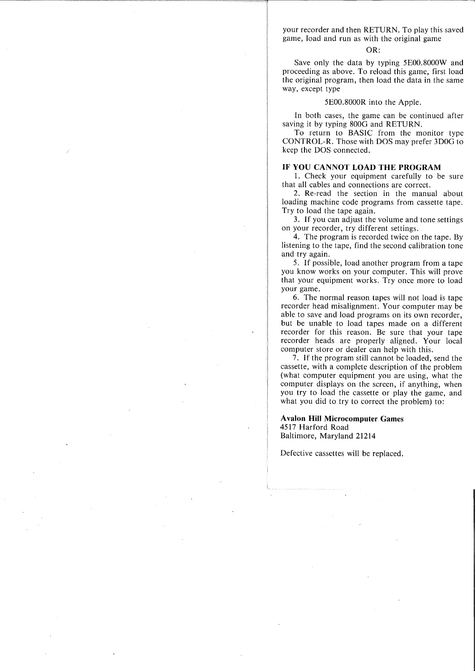your recorder and then RETURN. To play this saved game, load and run as with the original game

### OR:

Save only the data by typing 5EOO.8000W and proceeding as above. To reload this game, first load the original program, then load the data in the same way, except type

### 5EOO.8000R into the Apple.

In both cases, the game can be continued after saving it by typing 8000 and RETURN.

To return to BASIC from the monitor type CONTROL-R. Those with DOS may prefer 3DOO to keep the DOS connected.

### IF YOU CANNOT LOAD THE PROGRAM

1. Check your equipment carefully to be sure that all cables and connections are correct.

2. Re-read the section in the manual about loading machine code programs from cassette tape. Try to load the tape again.

3. If you can adjust the volume and tone settings on your recorder, try different settings.

4. The program is recorded twice on the tape. By listening to the tape, find the second calibration tone and try again.

5. If possible, load another program from a tape you know works on your computer. This will prove that your equipment works. Try once more to load your game.

6. The normal reason tapes will not load is tape recorder head misalignment. Your computer may be able to save and load programs on its own recorder, but be unable to load tapes made on a different recorder for this reason. Be sure that your tape recorder heads are properly aligned. Your local computer store or dealer can help with this.

7. If the program still cannot be loaded, send the cassette, with a complete description of the problem (what computer equipment you are using, what the computer displays on the screen, if anything, when you try to load the cassette or play the game, and what you did to try to correct the problem) to:

### Avalon Hill Microcomputer Games 4517 Harford Road Baltimore, Maryland 21214

Defective cassettes will be replaced.